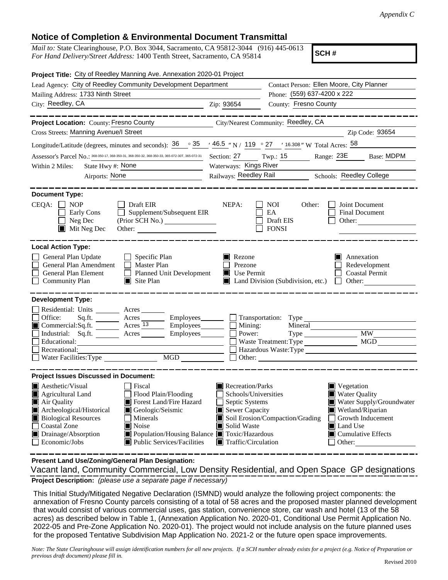## **Notice of Completion & Environmental Document Transmittal**

*Mail to:* State Clearinghouse, P.O. Box 3044, Sacramento, CA 95812-3044 (916) 445-0613 *For Hand Delivery/Street Address:* 1400 Tenth Street, Sacramento, CA 95814

**SCH #**

| Project Title: City of Reedley Manning Ave. Annexation 2020-01 Project                                                                                                                                                                                                                                                                                                                                                              |                                                                                                                                   |                                                                                                                                                                                                                      |  |  |  |
|-------------------------------------------------------------------------------------------------------------------------------------------------------------------------------------------------------------------------------------------------------------------------------------------------------------------------------------------------------------------------------------------------------------------------------------|-----------------------------------------------------------------------------------------------------------------------------------|----------------------------------------------------------------------------------------------------------------------------------------------------------------------------------------------------------------------|--|--|--|
| Lead Agency: City of Reedley Community Development Department                                                                                                                                                                                                                                                                                                                                                                       | Contact Person: Ellen Moore, City Planner                                                                                         |                                                                                                                                                                                                                      |  |  |  |
| Mailing Address: 1733 Ninth Street                                                                                                                                                                                                                                                                                                                                                                                                  |                                                                                                                                   | Phone: (559) 637-4200 x 222<br>County: Fresno County                                                                                                                                                                 |  |  |  |
| City: Reedley, CA<br><u> 1989 - Johann Barbara, martin amerikan personal (</u>                                                                                                                                                                                                                                                                                                                                                      | Zip: 93654                                                                                                                        |                                                                                                                                                                                                                      |  |  |  |
| <b>Project Location:</b> County: Fresno County City/Nearest Community: Reedley, CA<br>Cross Streets: Manning Avenue/I Street                                                                                                                                                                                                                                                                                                        |                                                                                                                                   | Zip Code: 93654                                                                                                                                                                                                      |  |  |  |
| Longitude/Latitude (degrees, minutes and seconds): $36 \degree$ $35 \degree$ $46.5 \degree$ N / 119 $\degree$ 27 $\degree$ 16.308" W Total Acres: $58 \degree$                                                                                                                                                                                                                                                                      |                                                                                                                                   |                                                                                                                                                                                                                      |  |  |  |
| Assessor's Parcel No.: 368-350-17, 368-350-31, 368-350-32, 368-350-33, 365-072-307, 365-072-31<br>State Hwy #: None<br>Within 2 Miles:<br>Airports: None                                                                                                                                                                                                                                                                            | Section: 27<br>Waterways: Kings River                                                                                             | Twp.: 15 Range: 23E Base: MDPM<br>Railways: Reedley Rail Schools: Reedley College                                                                                                                                    |  |  |  |
| <b>Document Type:</b><br>CEQA:<br><b>NOP</b><br>Draft EIR<br>Supplement/Subsequent EIR<br>Early Cons<br>Neg Dec<br>$\blacksquare$ Mit Neg Dec<br>Other:                                                                                                                                                                                                                                                                             | NEPA:                                                                                                                             | NOI<br>Other:<br>Joint Document<br>EA<br>Final Document<br>Draft EIS<br>Other:<br><b>FONSI</b>                                                                                                                       |  |  |  |
| <b>Local Action Type:</b><br>General Plan Update<br>Specific Plan<br>General Plan Amendment<br>$\Box$ Master Plan<br>General Plan Element<br>Planned Unit Development<br><b>Community Plan</b><br>$\Box$ Site Plan                                                                                                                                                                                                                  | Rezone<br>Prezone<br>$\blacksquare$ Use Permit                                                                                    | Annexation<br>Redevelopment<br><b>Coastal Permit</b><br>Land Division (Subdivision, etc.)<br>Other:                                                                                                                  |  |  |  |
| <b>Development Type:</b><br>Residential: Units ________ Acres _______<br>Office:<br>Sq.ft. $\frac{1}{\sqrt{2}}$<br>Acres __________ Employees________<br>Commercial: Sq. ft. _________ Acres 13<br>Employees________<br>Industrial: Sq.ft. Acres<br>Employees_______<br>Educational:<br>Recreational:<br>MGD<br>Water Facilities: Type                                                                                              | $\Box$ Mining:<br>Power:                                                                                                          | Mineral<br><b>MW</b><br>$Type \_\_$<br>Waste Treatment: Type<br>MGD<br>Other:                                                                                                                                        |  |  |  |
| <b>Project Issues Discussed in Document:</b><br>Aesthetic/Visual<br>  Fiscal<br>Flood Plain/Flooding<br>Agricultural Land<br>Air Quality<br>Forest Land/Fire Hazard<br>Archeological/Historical<br>Geologic/Seismic<br><b>Biological Resources</b><br>Minerals<br><b>Coastal Zone</b><br>$\blacksquare$ Noise<br>Drainage/Absorption<br>Population/Housing Balance Toxic/Hazardous<br>Economic/Jobs<br>■ Public Services/Facilities | Recreation/Parks<br>Schools/Universities<br>Septic Systems<br>Sewer Capacity<br>Solid Waste<br>$\blacksquare$ Traffic/Circulation | $\blacksquare$ Vegetation<br><b>Water Quality</b><br>Water Supply/Groundwater<br>Wetland/Riparian<br>Soil Erosion/Compaction/Grading<br>Growth Inducement<br>Land Use<br>$\blacksquare$ Cumulative Effects<br>Other: |  |  |  |

**Present Land Use/Zoning/General Plan Designation:**

**Project Description:** *(please use a separate page if necessary)* Vacant land, Community Commercial, Low Density Residential, and Open Space GP designations

 This Initial Study/Mitigated Negative Declaration (ISMND) would analyze the following project components: the annexation of Fresno County parcels consisting of a total of 58 acres and the proposed master planned development that would consist of various commercial uses, gas station, convenience store, car wash and hotel (13 of the 58 acres) as described below in Table 1, (Annexation Application No. 2020-01, Conditional Use Permit Application No. 2022-05 and Pre-Zone Application No. 2020-01). The project would not include analysis on the future planned uses for the proposed Tentative Subdivision Map Application No. 2021-2 or the future open space improvements.

*Note: The State Clearinghouse will assign identification numbers for all new projects. If a SCH number already exists for a project (e.g. Notice of Preparation or previous draft document) please fill in.*